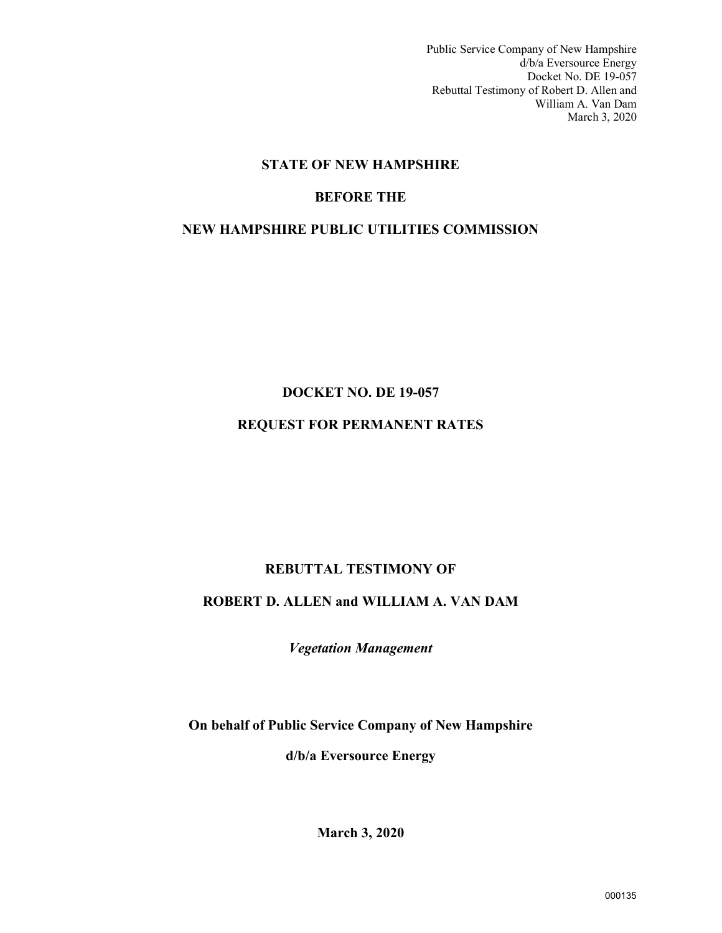Public Service Company of New Hampshire d/b/a Eversource Energy Docket No. DE 19-057 Rebuttal Testimony of Robert D. Allen and William A. Van Dam March 3, 2020

# **STATE OF NEW HAMPSHIRE**

# **BEFORE THE**

# **NEW HAMPSHIRE PUBLIC UTILITIES COMMISSION**

# **DOCKET NO. DE 19-057**

# **REQUEST FOR PERMANENT RATES**

# **REBUTTAL TESTIMONY OF**

# **ROBERT D. ALLEN and WILLIAM A. VAN DAM**

*Vegetation Management*

**On behalf of Public Service Company of New Hampshire d/b/a Eversource Energy**

**March 3, 2020**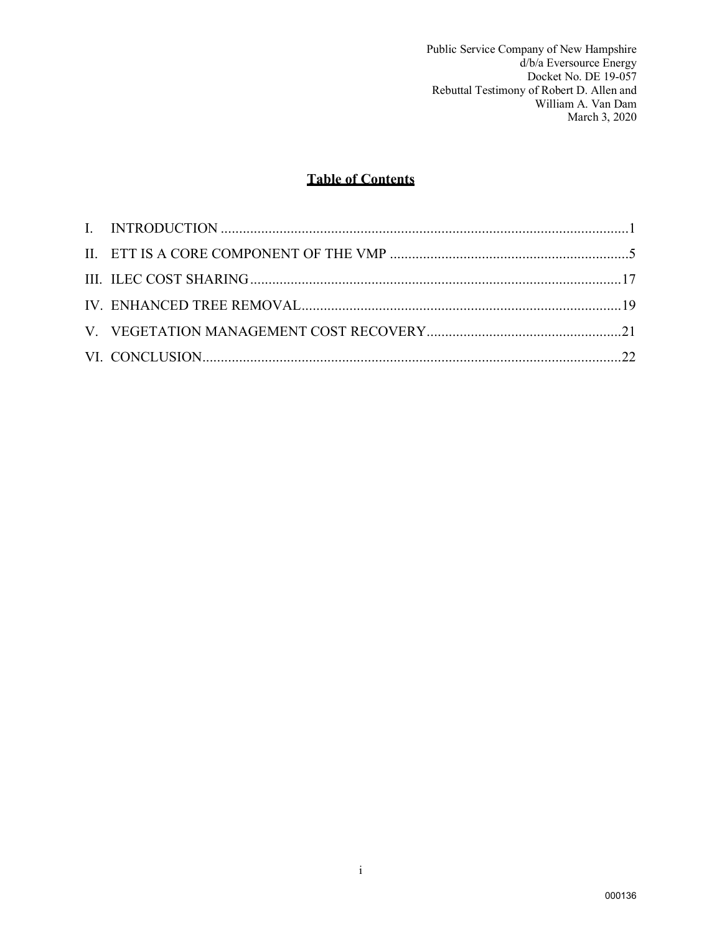Public Service Company of New Hampshire d/b/a Eversource Energy Docket No. DE 19-057 Rebuttal Testimony of Robert D. Allen and William A. Van Dam March 3, 2020

# **Table of Contents**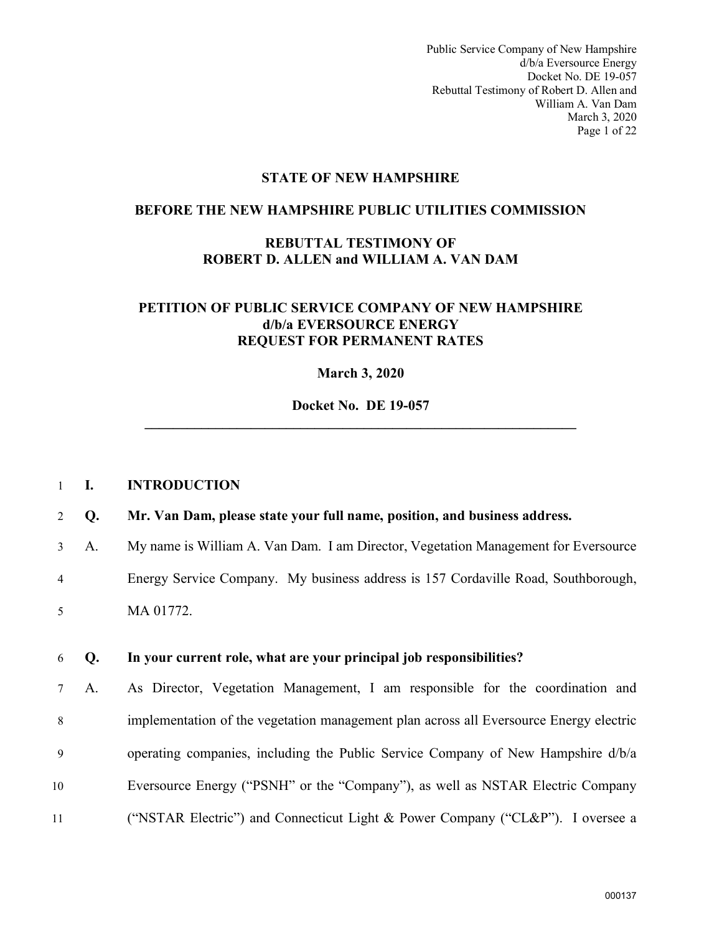Public Service Company of New Hampshire d/b/a Eversource Energy Docket No. DE 19-057 Rebuttal Testimony of Robert D. Allen and William A. Van Dam March 3, 2020 Page 1 of 22

#### **STATE OF NEW HAMPSHIRE**

#### **BEFORE THE NEW HAMPSHIRE PUBLIC UTILITIES COMMISSION**

## **REBUTTAL TESTIMONY OF ROBERT D. ALLEN and WILLIAM A. VAN DAM**

## **PETITION OF PUBLIC SERVICE COMPANY OF NEW HAMPSHIRE d/b/a EVERSOURCE ENERGY REQUEST FOR PERMANENT RATES**

#### **March 3, 2020**

**Docket No. DE 19-057 \_\_\_\_\_\_\_\_\_\_\_\_\_\_\_\_\_\_\_\_\_\_\_\_\_\_\_\_\_\_\_\_\_\_\_\_\_\_\_\_\_\_\_\_\_\_\_\_\_\_\_\_\_\_\_\_\_\_\_\_\_** 

#### <span id="page-2-0"></span>1 **I. INTRODUCTION**

#### 2 **Q. Mr. Van Dam, please state your full name, position, and business address.**

3 A. My name is William A. Van Dam. I am Director, Vegetation Management for Eversource 4 Energy Service Company. My business address is 157 Cordaville Road, Southborough,

5 MA 01772.

#### 6 **Q. In your current role, what are your principal job responsibilities?**

7 A. As Director, Vegetation Management, I am responsible for the coordination and 8 implementation of the vegetation management plan across all Eversource Energy electric 9 operating companies, including the Public Service Company of New Hampshire d/b/a 10 Eversource Energy ("PSNH" or the "Company"), as well as NSTAR Electric Company 11 ("NSTAR Electric") and Connecticut Light & Power Company ("CL&P"). I oversee a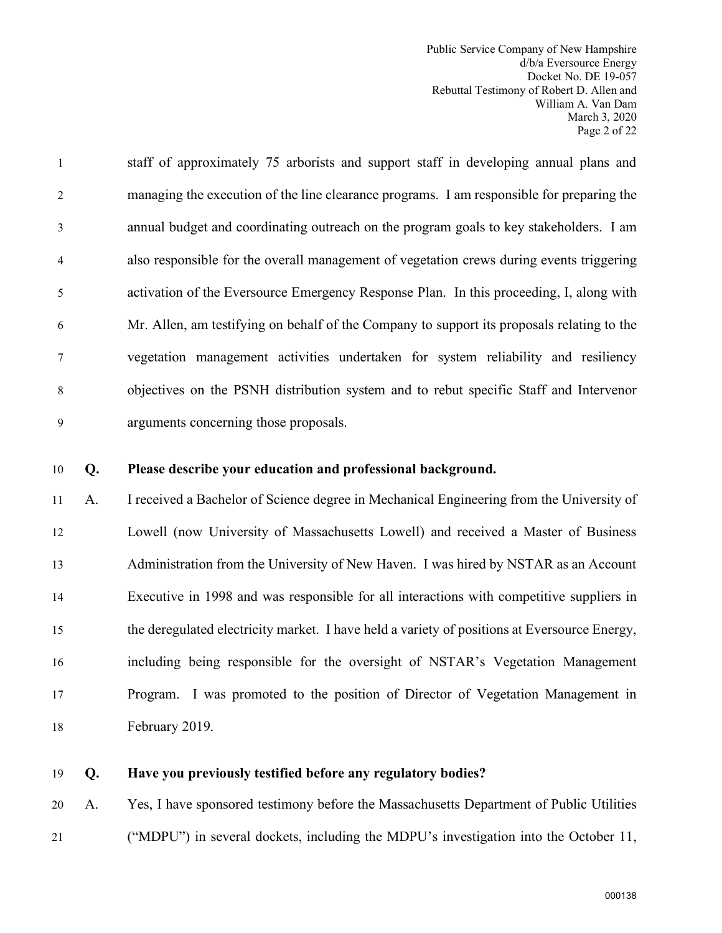Public Service Company of New Hampshire d/b/a Eversource Energy Docket No. DE 19-057 Rebuttal Testimony of Robert D. Allen and William A. Van Dam March 3, 2020 Page 2 of 22

1 staff of approximately 75 arborists and support staff in developing annual plans and 2 managing the execution of the line clearance programs. I am responsible for preparing the 3 annual budget and coordinating outreach on the program goals to key stakeholders. I am 4 also responsible for the overall management of vegetation crews during events triggering 5 activation of the Eversource Emergency Response Plan. In this proceeding, I, along with 6 Mr. Allen, am testifying on behalf of the Company to support its proposals relating to the 7 vegetation management activities undertaken for system reliability and resiliency 8 objectives on the PSNH distribution system and to rebut specific Staff and Intervenor 9 arguments concerning those proposals.

#### 10 **Q. Please describe your education and professional background.**

11 A. I received a Bachelor of Science degree in Mechanical Engineering from the University of 12 Lowell (now University of Massachusetts Lowell) and received a Master of Business 13 Administration from the University of New Haven. I was hired by NSTAR as an Account 14 Executive in 1998 and was responsible for all interactions with competitive suppliers in 15 the deregulated electricity market. I have held a variety of positions at Eversource Energy, 16 including being responsible for the oversight of NSTAR's Vegetation Management 17 Program. I was promoted to the position of Director of Vegetation Management in 18 February 2019.

19 **Q. Have you previously testified before any regulatory bodies?**

20 A. Yes, I have sponsored testimony before the Massachusetts Department of Public Utilities 21 ("MDPU") in several dockets, including the MDPU's investigation into the October 11,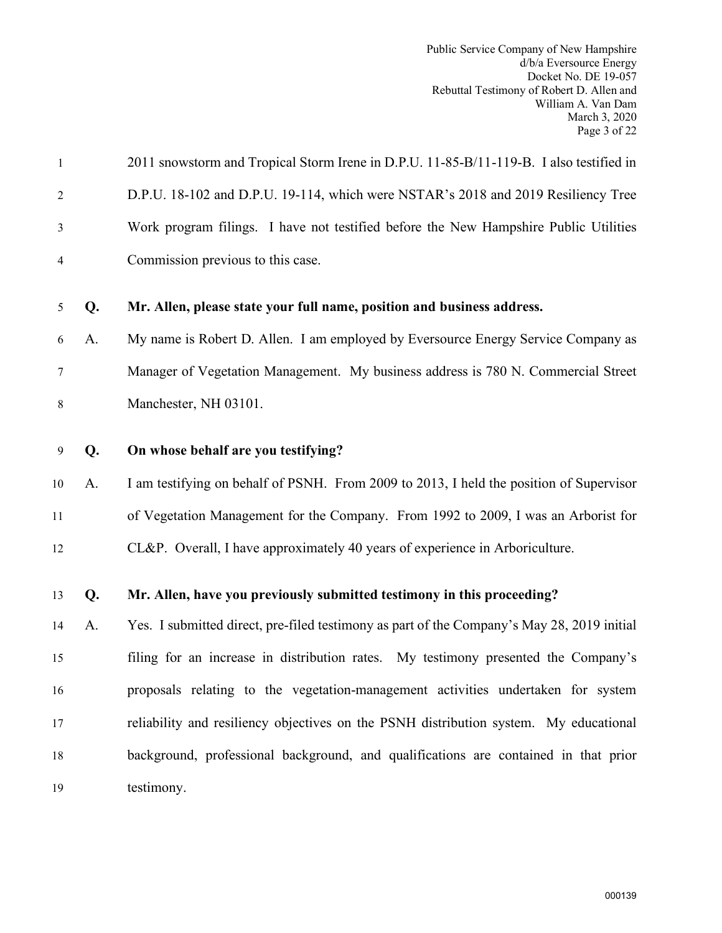Public Service Company of New Hampshire d/b/a Eversource Energy Docket No. DE 19-057 Rebuttal Testimony of Robert D. Allen and William A. Van Dam March 3, 2020 Page 3 of 22

| $\mathbf{1}$   |    | 2011 snowstorm and Tropical Storm Irene in D.P.U. 11-85-B/11-119-B. I also testified in    |
|----------------|----|--------------------------------------------------------------------------------------------|
| $\overline{2}$ |    | D.P.U. 18-102 and D.P.U. 19-114, which were NSTAR's 2018 and 2019 Resiliency Tree          |
| 3              |    | Work program filings. I have not testified before the New Hampshire Public Utilities       |
| $\overline{4}$ |    | Commission previous to this case.                                                          |
| 5              | Q. | Mr. Allen, please state your full name, position and business address.                     |
| 6              | A. | My name is Robert D. Allen. I am employed by Eversource Energy Service Company as          |
| $\tau$         |    | Manager of Vegetation Management. My business address is 780 N. Commercial Street          |
| $\,8\,$        |    | Manchester, NH 03101.                                                                      |
| 9              | Q. | On whose behalf are you testifying?                                                        |
| 10             | A. | I am testifying on behalf of PSNH. From 2009 to 2013, I held the position of Supervisor    |
| $11\,$         |    | of Vegetation Management for the Company. From 1992 to 2009, I was an Arborist for         |
| 12             |    | CL&P. Overall, I have approximately 40 years of experience in Arboriculture.               |
| 13             | Q. | Mr. Allen, have you previously submitted testimony in this proceeding?                     |
| 14             | A. | Yes. I submitted direct, pre-filed testimony as part of the Company's May 28, 2019 initial |
| 15             |    | filing for an increase in distribution rates. My testimony presented the Company's         |
| 16             |    | proposals relating to the vegetation-management activities undertaken for system           |
| 17             |    | reliability and resiliency objectives on the PSNH distribution system. My educational      |
| 18             |    | background, professional background, and qualifications are contained in that prior        |
| 19             |    | testimony.                                                                                 |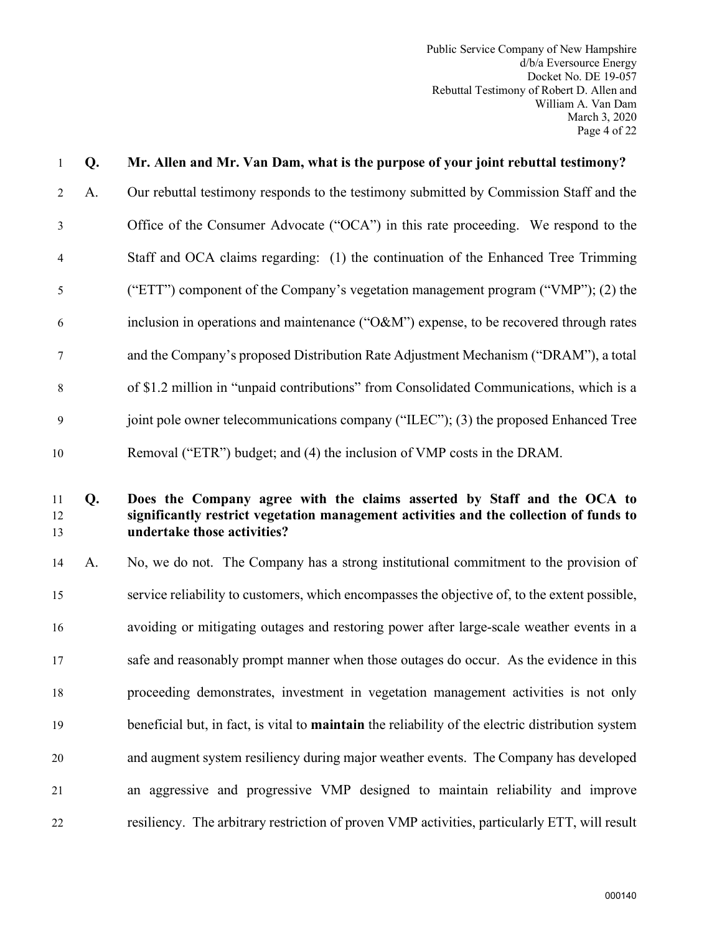Public Service Company of New Hampshire d/b/a Eversource Energy Docket No. DE 19-057 Rebuttal Testimony of Robert D. Allen and William A. Van Dam March 3, 2020 Page 4 of 22

| $\mathbf{1}$   | Q. | Mr. Allen and Mr. Van Dam, what is the purpose of your joint rebuttal testimony?        |
|----------------|----|-----------------------------------------------------------------------------------------|
| $2^{\circ}$    | A. | Our rebuttal testimony responds to the testimony submitted by Commission Staff and the  |
| $\overline{3}$ |    | Office of the Consumer Advocate ("OCA") in this rate proceeding. We respond to the      |
| $\overline{4}$ |    | Staff and OCA claims regarding: (1) the continuation of the Enhanced Tree Trimming      |
| 5              |    | ("ETT") component of the Company's vegetation management program ("VMP"); (2) the       |
| 6              |    | inclusion in operations and maintenance ("O&M") expense, to be recovered through rates  |
| $\tau$         |    | and the Company's proposed Distribution Rate Adjustment Mechanism ("DRAM"), a total     |
| 8              |    | of \$1.2 million in "unpaid contributions" from Consolidated Communications, which is a |
| 9              |    | joint pole owner telecommunications company ("ILEC"); (3) the proposed Enhanced Tree    |
| 10             |    | Removal ("ETR") budget; and (4) the inclusion of VMP costs in the DRAM.                 |

# 11 **Q. Does the Company agree with the claims asserted by Staff and the OCA to**  12 **significantly restrict vegetation management activities and the collection of funds to**  13 **undertake those activities?**

14 A. No, we do not. The Company has a strong institutional commitment to the provision of 15 service reliability to customers, which encompasses the objective of, to the extent possible, 16 avoiding or mitigating outages and restoring power after large-scale weather events in a 17 safe and reasonably prompt manner when those outages do occur. As the evidence in this 18 proceeding demonstrates, investment in vegetation management activities is not only 19 beneficial but, in fact, is vital to **maintain** the reliability of the electric distribution system 20 and augment system resiliency during major weather events. The Company has developed 21 an aggressive and progressive VMP designed to maintain reliability and improve 22 resiliency. The arbitrary restriction of proven VMP activities, particularly ETT, will result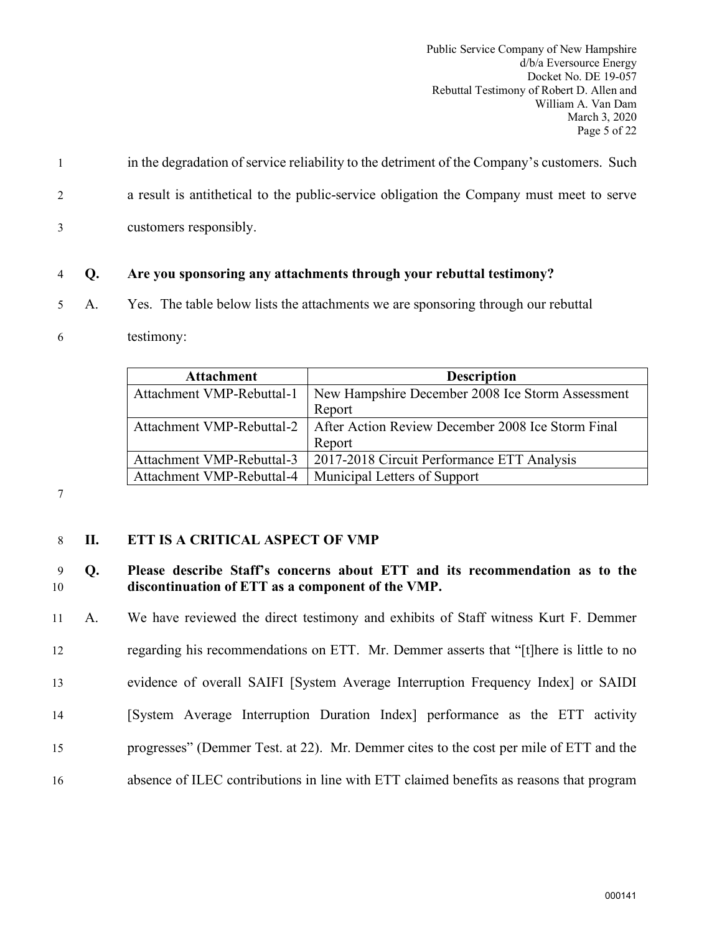Public Service Company of New Hampshire d/b/a Eversource Energy Docket No. DE 19-057 Rebuttal Testimony of Robert D. Allen and William A. Van Dam March 3, 2020 Page 5 of 22

- 1 in the degradation of service reliability to the detriment of the Company's customers. Such 2 a result is antithetical to the public-service obligation the Company must meet to serve
- 3 customers responsibly.

## 4 **Q. Are you sponsoring any attachments through your rebuttal testimony?**

- 5 A. Yes. The table below lists the attachments we are sponsoring through our rebuttal
- 6 testimony:

| <b>Attachment</b>         | <b>Description</b>                                                            |
|---------------------------|-------------------------------------------------------------------------------|
| Attachment VMP-Rebuttal-1 | New Hampshire December 2008 Ice Storm Assessment                              |
|                           | Report                                                                        |
|                           | Attachment VMP-Rebuttal-2   After Action Review December 2008 Ice Storm Final |
|                           | Report                                                                        |
| Attachment VMP-Rebuttal-3 | 2017-2018 Circuit Performance ETT Analysis                                    |
| Attachment VMP-Rebuttal-4 | Municipal Letters of Support                                                  |

7

# <span id="page-6-0"></span>8 **II. ETT IS A CRITICAL ASPECT OF VMP**

## 9 **Q. Please describe Staff's concerns about ETT and its recommendation as to the**  10 **discontinuation of ETT as a component of the VMP.**

11 A. We have reviewed the direct testimony and exhibits of Staff witness Kurt F. Demmer 12 regarding his recommendations on ETT. Mr. Demmer asserts that "[t]here is little to no 13 evidence of overall SAIFI [System Average Interruption Frequency Index] or SAIDI 14 [System Average Interruption Duration Index] performance as the ETT activity 15 progresses" (Demmer Test. at 22). Mr. Demmer cites to the cost per mile of ETT and the 16 absence of ILEC contributions in line with ETT claimed benefits as reasons that program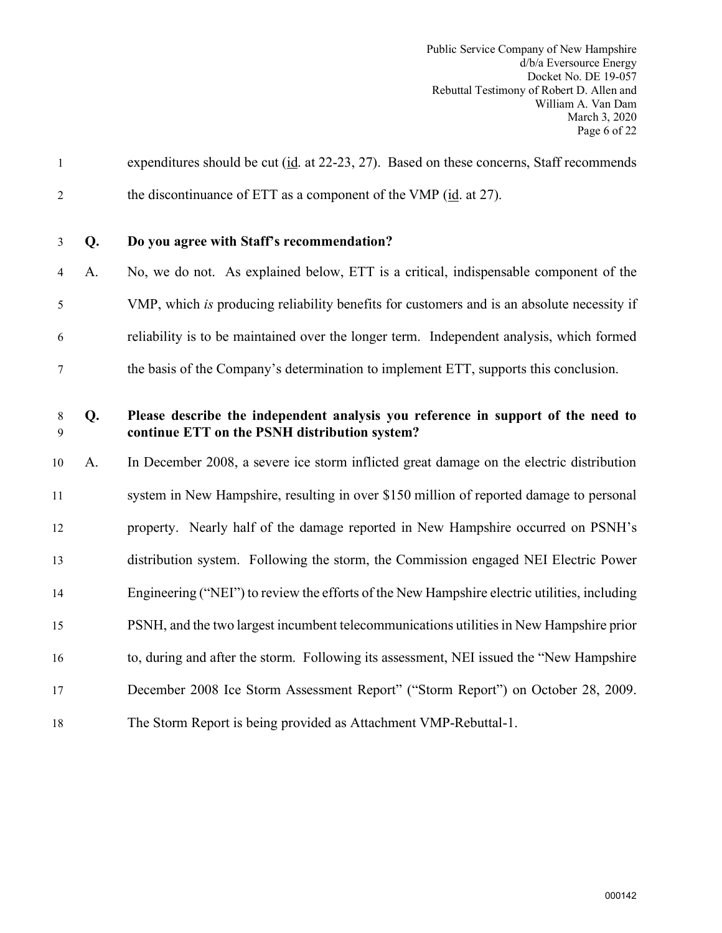| $\mathbf{1}$   |    | expenditures should be cut ( $id$ . at 22-23, 27). Based on these concerns, Staff recommends                                      |
|----------------|----|-----------------------------------------------------------------------------------------------------------------------------------|
| $\overline{2}$ |    | the discontinuance of ETT as a component of the VMP (id. at 27).                                                                  |
| $\mathfrak{Z}$ | Q. | Do you agree with Staff's recommendation?                                                                                         |
| 4              | A. | No, we do not. As explained below, ETT is a critical, indispensable component of the                                              |
| 5              |    | VMP, which is producing reliability benefits for customers and is an absolute necessity if                                        |
| 6              |    | reliability is to be maintained over the longer term. Independent analysis, which formed                                          |
| $\tau$         |    | the basis of the Company's determination to implement ETT, supports this conclusion.                                              |
| $\,8\,$<br>9   | Q. | Please describe the independent analysis you reference in support of the need to<br>continue ETT on the PSNH distribution system? |
| 10             | A. | In December 2008, a severe ice storm inflicted great damage on the electric distribution                                          |
| 11             |    | system in New Hampshire, resulting in over \$150 million of reported damage to personal                                           |
| 12             |    | property. Nearly half of the damage reported in New Hampshire occurred on PSNH's                                                  |
| 13             |    | distribution system. Following the storm, the Commission engaged NEI Electric Power                                               |
| 14             |    | Engineering ("NEI") to review the efforts of the New Hampshire electric utilities, including                                      |
| 15             |    | PSNH, and the two largest incumbent telecommunications utilities in New Hampshire prior                                           |
| 16             |    | to, during and after the storm. Following its assessment, NEI issued the "New Hampshire"                                          |
| 17             |    | December 2008 Ice Storm Assessment Report" ("Storm Report") on October 28, 2009.                                                  |
| 18             |    | The Storm Report is being provided as Attachment VMP-Rebuttal-1.                                                                  |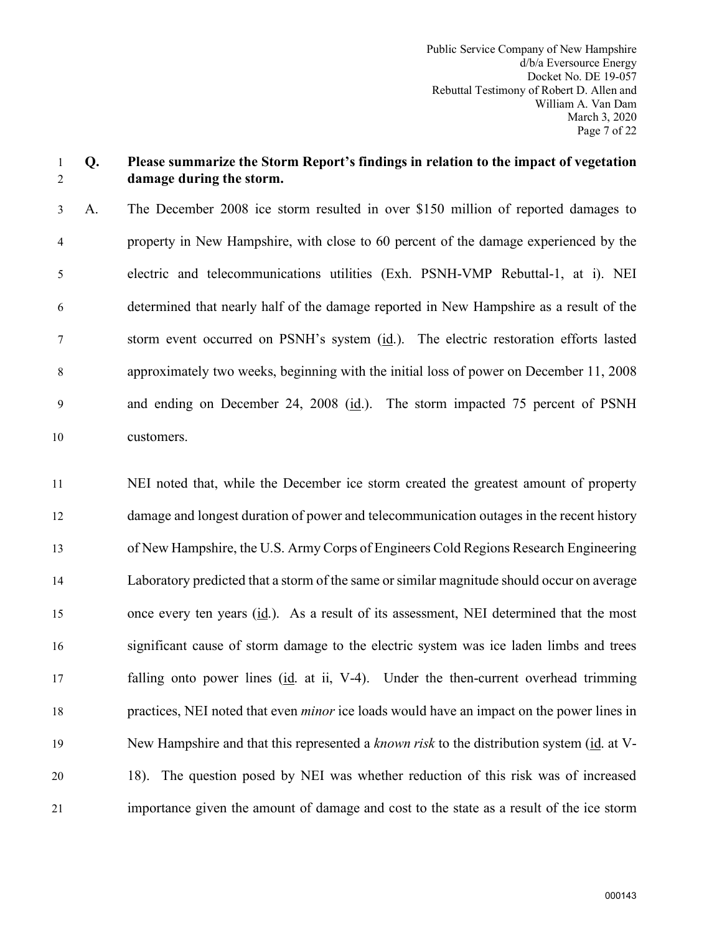#### 1 **Q. Please summarize the Storm Report's findings in relation to the impact of vegetation**  2 **damage during the storm.**

3 A. The December 2008 ice storm resulted in over \$150 million of reported damages to 4 property in New Hampshire, with close to 60 percent of the damage experienced by the 5 electric and telecommunications utilities (Exh. PSNH-VMP Rebuttal-1, at i). NEI 6 determined that nearly half of the damage reported in New Hampshire as a result of the 7 storm event occurred on PSNH's system (id.). The electric restoration efforts lasted 8 approximately two weeks, beginning with the initial loss of power on December 11, 2008 9 and ending on December 24, 2008 (id.). The storm impacted 75 percent of PSNH 10 customers.

11 NEI noted that, while the December ice storm created the greatest amount of property 12 damage and longest duration of power and telecommunication outages in the recent history 13 of New Hampshire, the U.S. Army Corps of Engineers Cold Regions Research Engineering 14 Laboratory predicted that a storm of the same or similar magnitude should occur on average 15 once every ten years (id.). As a result of its assessment, NEI determined that the most 16 significant cause of storm damage to the electric system was ice laden limbs and trees 17 falling onto power lines (id. at ii, V-4). Under the then-current overhead trimming 18 practices, NEI noted that even *minor* ice loads would have an impact on the power lines in 19 New Hampshire and that this represented a *known risk* to the distribution system (id. at V-20 18). The question posed by NEI was whether reduction of this risk was of increased 21 importance given the amount of damage and cost to the state as a result of the ice storm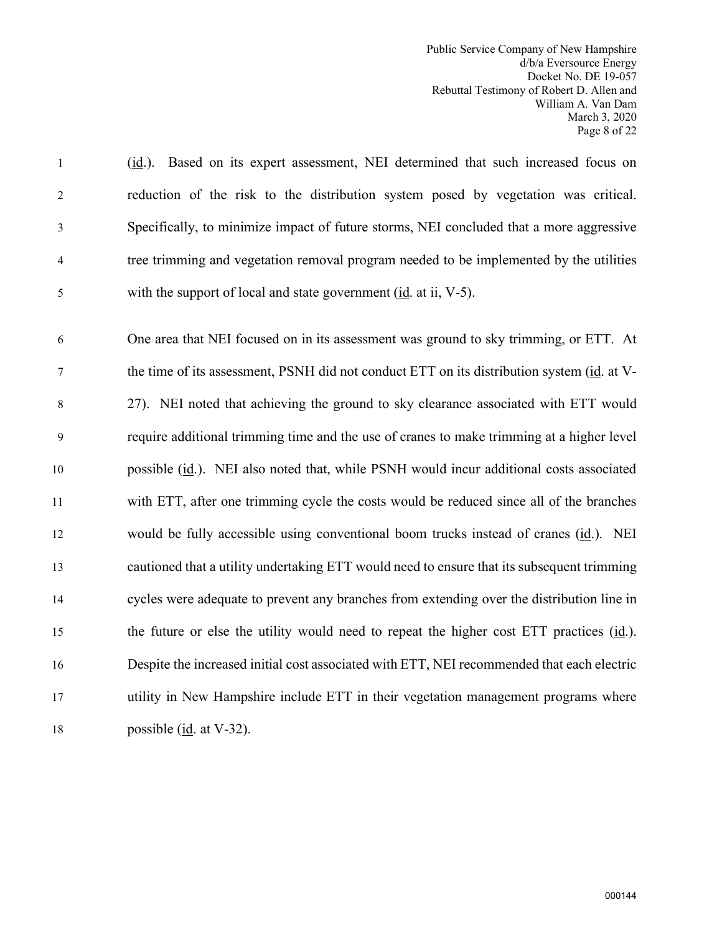Public Service Company of New Hampshire d/b/a Eversource Energy Docket No. DE 19-057 Rebuttal Testimony of Robert D. Allen and William A. Van Dam March 3, 2020 Page 8 of 22

1 (id.). Based on its expert assessment, NEI determined that such increased focus on 2 reduction of the risk to the distribution system posed by vegetation was critical. 3 Specifically, to minimize impact of future storms, NEI concluded that a more aggressive 4 tree trimming and vegetation removal program needed to be implemented by the utilities 5 with the support of local and state government (id. at ii, V-5).

6 One area that NEI focused on in its assessment was ground to sky trimming, or ETT. At 7 the time of its assessment, PSNH did not conduct ETT on its distribution system (id. at V-8 27). NEI noted that achieving the ground to sky clearance associated with ETT would 9 require additional trimming time and the use of cranes to make trimming at a higher level 10 possible (id.). NEI also noted that, while PSNH would incur additional costs associated 11 with ETT, after one trimming cycle the costs would be reduced since all of the branches 12 would be fully accessible using conventional boom trucks instead of cranes (id.). NEI 13 cautioned that a utility undertaking ETT would need to ensure that its subsequent trimming 14 cycles were adequate to prevent any branches from extending over the distribution line in 15 the future or else the utility would need to repeat the higher cost ETT practices (id.). 16 Despite the increased initial cost associated with ETT, NEI recommended that each electric 17 utility in New Hampshire include ETT in their vegetation management programs where 18 possible (id. at V-32).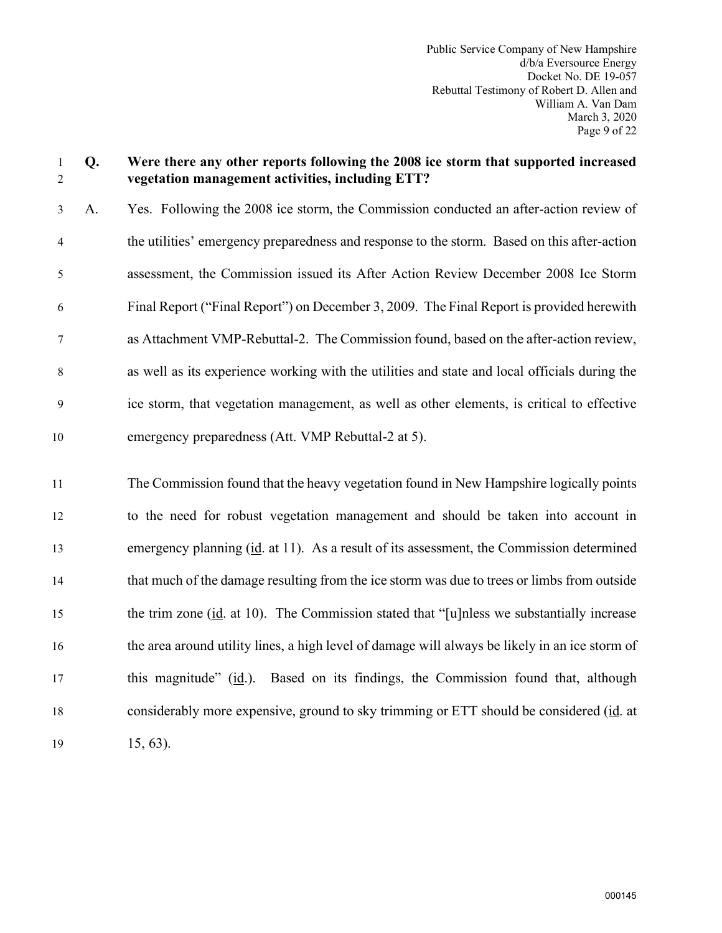## 1 **Q. Were there any other reports following the 2008 ice storm that supported increased**  2 **vegetation management activities, including ETT?**

3 A. Yes. Following the 2008 ice storm, the Commission conducted an after-action review of 4 the utilities' emergency preparedness and response to the storm. Based on this after-action 5 assessment, the Commission issued its After Action Review December 2008 Ice Storm 6 Final Report ("Final Report") on December 3, 2009. The Final Report is provided herewith 7 as Attachment VMP-Rebuttal-2. The Commission found, based on the after-action review, 8 as well as its experience working with the utilities and state and local officials during the 9 ice storm, that vegetation management, as well as other elements, is critical to effective 10 emergency preparedness (Att. VMP Rebuttal-2 at 5).

11 The Commission found that the heavy vegetation found in New Hampshire logically points 12 to the need for robust vegetation management and should be taken into account in 13 emergency planning (id. at 11). As a result of its assessment, the Commission determined 14 that much of the damage resulting from the ice storm was due to trees or limbs from outside 15 the trim zone  $(id.$  at 10). The Commission stated that "[u]nless we substantially increase 16 the area around utility lines, a high level of damage will always be likely in an ice storm of 17 this magnitude" (id.). Based on its findings, the Commission found that, although 18 considerably more expensive, ground to sky trimming or ETT should be considered (id. at 19 15, 63).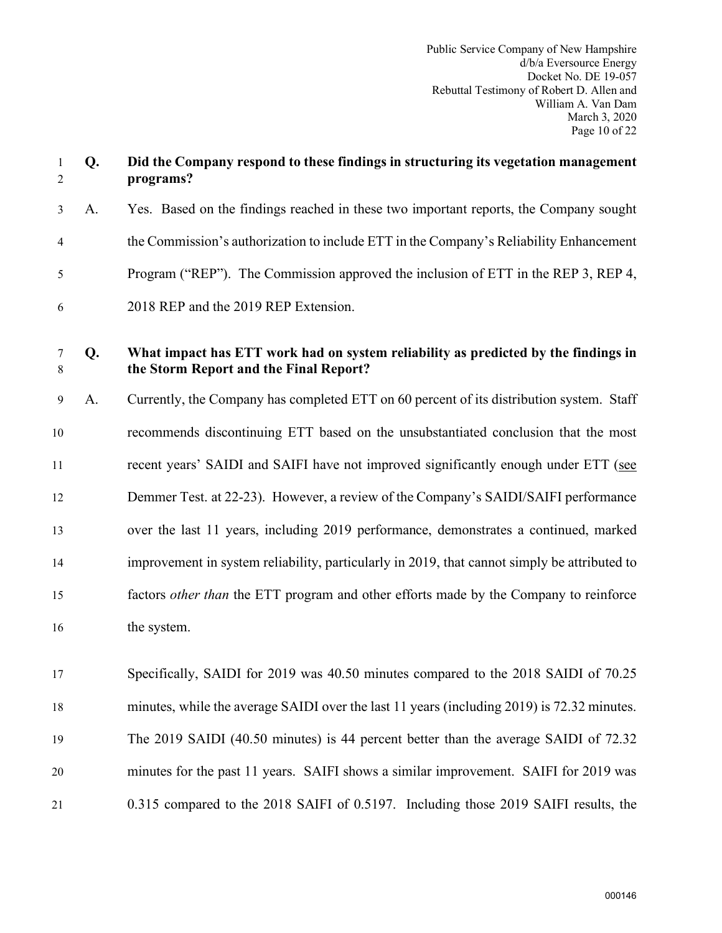| $\mathbf{1}$<br>$\overline{2}$ | Q. | Did the Company respond to these findings in structuring its vegetation management<br>programs?                              |
|--------------------------------|----|------------------------------------------------------------------------------------------------------------------------------|
| $\mathfrak{Z}$                 | A. | Yes. Based on the findings reached in these two important reports, the Company sought                                        |
| 4                              |    | the Commission's authorization to include ETT in the Company's Reliability Enhancement                                       |
| 5                              |    | Program ("REP"). The Commission approved the inclusion of ETT in the REP 3, REP 4,                                           |
| 6                              |    | 2018 REP and the 2019 REP Extension.                                                                                         |
| 7<br>8                         | Q. | What impact has ETT work had on system reliability as predicted by the findings in<br>the Storm Report and the Final Report? |
| 9                              | A. | Currently, the Company has completed ETT on 60 percent of its distribution system. Staff                                     |
| 10                             |    | recommends discontinuing ETT based on the unsubstantiated conclusion that the most                                           |
| 11                             |    | recent years' SAIDI and SAIFI have not improved significantly enough under ETT (see                                          |
| 12                             |    | Demmer Test. at 22-23). However, a review of the Company's SAIDI/SAIFI performance                                           |
| 13                             |    | over the last 11 years, including 2019 performance, demonstrates a continued, marked                                         |
| 14                             |    | improvement in system reliability, particularly in 2019, that cannot simply be attributed to                                 |
| 15                             |    | factors <i>other than</i> the ETT program and other efforts made by the Company to reinforce                                 |
| 16                             |    | the system.                                                                                                                  |
| 17                             |    | Specifically, SAIDI for 2019 was 40.50 minutes compared to the 2018 SAIDI of 70.25                                           |
| 18                             |    | minutes, while the average SAIDI over the last 11 years (including 2019) is 72.32 minutes.                                   |
| 19                             |    | The 2019 SAIDI (40.50 minutes) is 44 percent better than the average SAIDI of 72.32                                          |
| 20                             |    | minutes for the past 11 years. SAIFI shows a similar improvement. SAIFI for 2019 was                                         |
| 21                             |    | 0.315 compared to the 2018 SAIFI of 0.5197. Including those 2019 SAIFI results, the                                          |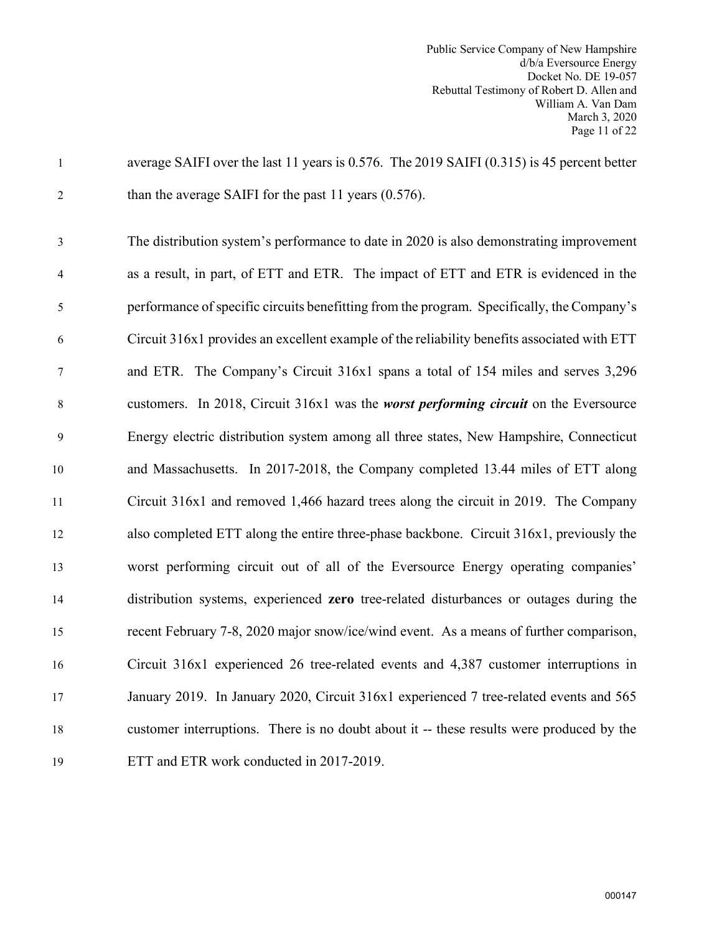| $\mathbf{1}$   | average SAIFI over the last 11 years is 0.576. The 2019 SAIFI (0.315) is 45 percent better  |
|----------------|---------------------------------------------------------------------------------------------|
| $\overline{2}$ | than the average SAIFI for the past 11 years $(0.576)$ .                                    |
| 3              | The distribution system's performance to date in 2020 is also demonstrating improvement     |
| $\overline{4}$ | as a result, in part, of ETT and ETR. The impact of ETT and ETR is evidenced in the         |
| 5              | performance of specific circuits benefitting from the program. Specifically, the Company's  |
| 6              | Circuit 316x1 provides an excellent example of the reliability benefits associated with ETT |
| $\tau$         | and ETR. The Company's Circuit 316x1 spans a total of 154 miles and serves 3,296            |
| 8              | customers. In 2018, Circuit 316x1 was the <i>worst performing circuit</i> on the Eversource |
| 9              | Energy electric distribution system among all three states, New Hampshire, Connecticut      |
| 10             | and Massachusetts. In 2017-2018, the Company completed 13.44 miles of ETT along             |
| 11             | Circuit 316x1 and removed 1,466 hazard trees along the circuit in 2019. The Company         |
| 12             | also completed ETT along the entire three-phase backbone. Circuit 316x1, previously the     |
| 13             | worst performing circuit out of all of the Eversource Energy operating companies'           |
| 14             | distribution systems, experienced zero tree-related disturbances or outages during the      |
| 15             | recent February 7-8, 2020 major snow/ice/wind event. As a means of further comparison,      |
| 16             | Circuit 316x1 experienced 26 tree-related events and 4,387 customer interruptions in        |
| 17             | January 2019. In January 2020, Circuit 316x1 experienced 7 tree-related events and 565      |
| 18             | customer interruptions. There is no doubt about it -- these results were produced by the    |
| 19             | ETT and ETR work conducted in 2017-2019.                                                    |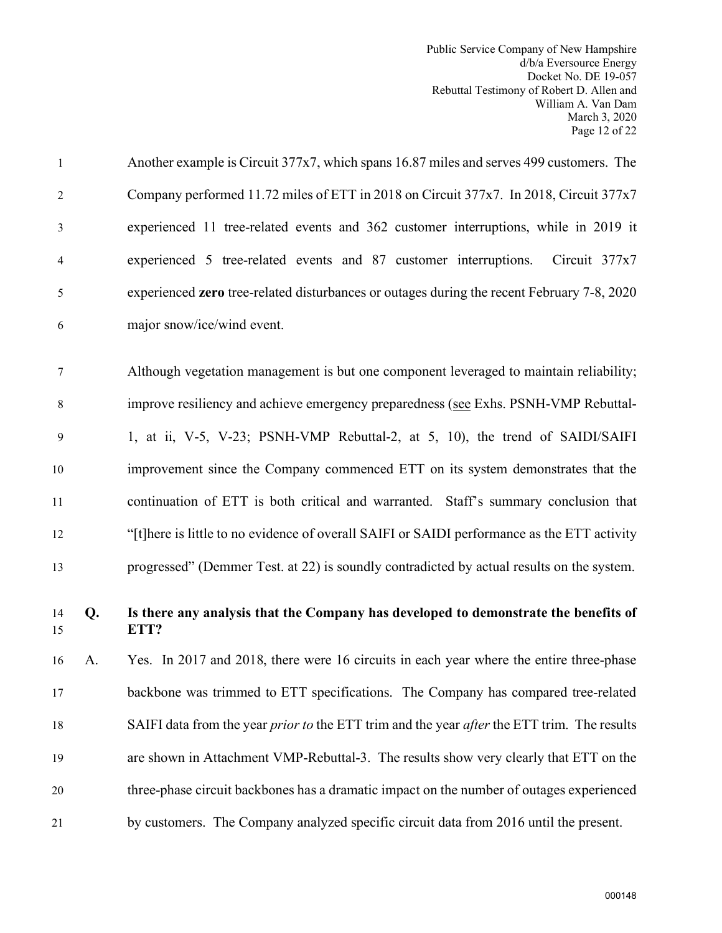| $\mathbf{1}$   |    | Another example is Circuit 377x7, which spans 16.87 miles and serves 499 customers. The                   |
|----------------|----|-----------------------------------------------------------------------------------------------------------|
| $\overline{2}$ |    | Company performed 11.72 miles of ETT in 2018 on Circuit 377x7. In 2018, Circuit 377x7                     |
| 3              |    | experienced 11 tree-related events and 362 customer interruptions, while in 2019 it                       |
| 4              |    | experienced 5 tree-related events and 87 customer interruptions.<br>Circuit $377x7$                       |
| 5              |    | experienced zero tree-related disturbances or outages during the recent February 7-8, 2020                |
| 6              |    | major snow/ice/wind event.                                                                                |
| 7              |    | Although vegetation management is but one component leveraged to maintain reliability;                    |
| $8\,$          |    | improve resiliency and achieve emergency preparedness (see Exhs. PSNH-VMP Rebuttal-                       |
| 9              |    | 1, at ii, V-5, V-23; PSNH-VMP Rebuttal-2, at 5, 10), the trend of SAIDI/SAIFI                             |
| 10             |    | improvement since the Company commenced ETT on its system demonstrates that the                           |
| 11             |    | continuation of ETT is both critical and warranted. Staff's summary conclusion that                       |
| 12             |    | "[t]here is little to no evidence of overall SAIFI or SAIDI performance as the ETT activity               |
| 13             |    | progressed" (Demmer Test. at 22) is soundly contradicted by actual results on the system.                 |
| 14<br>15       | Q. | Is there any analysis that the Company has developed to demonstrate the benefits of<br>ETT?               |
| 16             | A. | Yes. In 2017 and 2018, there were 16 circuits in each year where the entire three-phase                   |
| 17             |    | backbone was trimmed to ETT specifications. The Company has compared tree-related                         |
| 18             |    | SAIFI data from the year <i>prior to</i> the ETT trim and the year <i>after</i> the ETT trim. The results |
| 19             |    | are shown in Attachment VMP-Rebuttal-3. The results show very clearly that ETT on the                     |
| 20             |    | three-phase circuit backbones has a dramatic impact on the number of outages experienced                  |
| 21             |    | by customers. The Company analyzed specific circuit data from 2016 until the present.                     |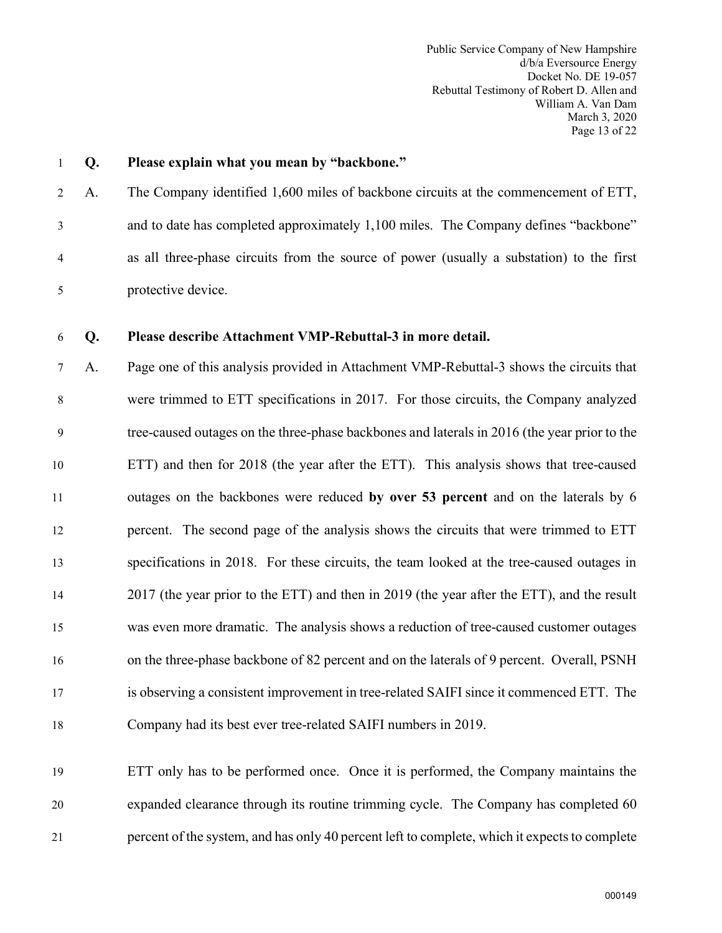Public Service Company of New Hampshire d/b/a Eversource Energy Docket No. DE 19-057 Rebuttal Testimony of Robert D. Allen and William A. Van Dam March 3, 2020 Page 13 of 22

# 1 **Q. Please explain what you mean by "backbone."** 2 A. The Company identified 1,600 miles of backbone circuits at the commencement of ETT, 3 and to date has completed approximately 1,100 miles. The Company defines "backbone" 4 as all three-phase circuits from the source of power (usually a substation) to the first 5 protective device.

#### 6 **Q. Please describe Attachment VMP-Rebuttal-3 in more detail.**

7 A. Page one of this analysis provided in Attachment VMP-Rebuttal-3 shows the circuits that 8 were trimmed to ETT specifications in 2017. For those circuits, the Company analyzed 9 tree-caused outages on the three-phase backbones and laterals in 2016 (the year prior to the 10 ETT) and then for 2018 (the year after the ETT). This analysis shows that tree-caused 11 outages on the backbones were reduced **by over 53 percent** and on the laterals by 6 12 percent. The second page of the analysis shows the circuits that were trimmed to ETT 13 specifications in 2018. For these circuits, the team looked at the tree-caused outages in 14 2017 (the year prior to the ETT) and then in 2019 (the year after the ETT), and the result 15 was even more dramatic. The analysis shows a reduction of tree-caused customer outages 16 on the three-phase backbone of 82 percent and on the laterals of 9 percent. Overall, PSNH 17 is observing a consistent improvement in tree-related SAIFI since it commenced ETT. The 18 Company had its best ever tree-related SAIFI numbers in 2019.

19 ETT only has to be performed once. Once it is performed, the Company maintains the 20 expanded clearance through its routine trimming cycle. The Company has completed 60 21 percent of the system, and has only 40 percent left to complete, which it expects to complete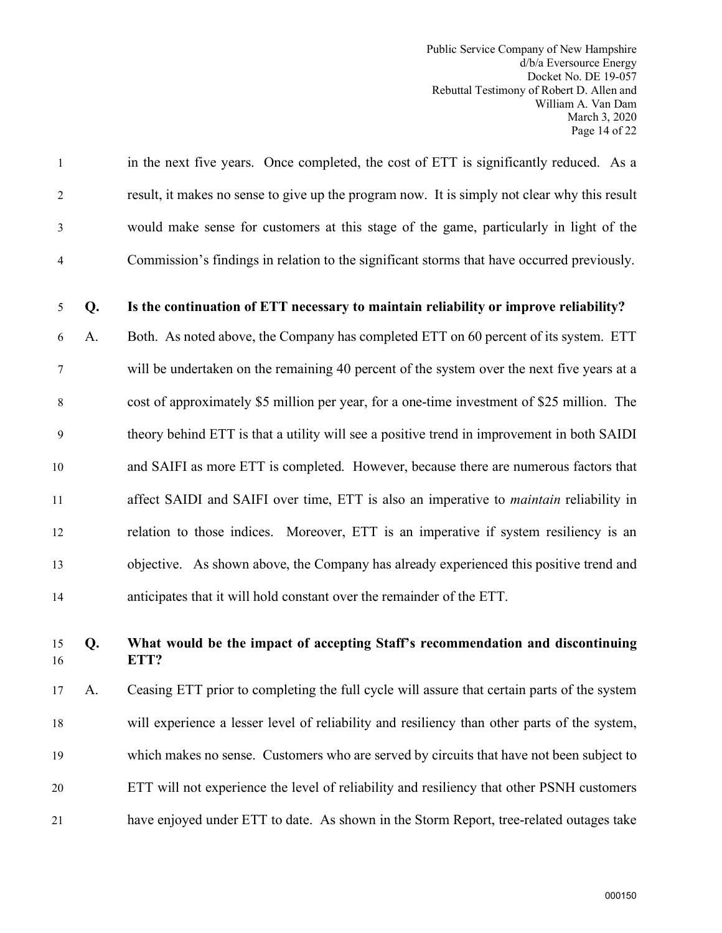Public Service Company of New Hampshire d/b/a Eversource Energy Docket No. DE 19-057 Rebuttal Testimony of Robert D. Allen and William A. Van Dam March 3, 2020 Page 14 of 22

1 in the next five years. Once completed, the cost of ETT is significantly reduced. As a 2 result, it makes no sense to give up the program now. It is simply not clear why this result 3 would make sense for customers at this stage of the game, particularly in light of the 4 Commission's findings in relation to the significant storms that have occurred previously.

#### 5 **Q. Is the continuation of ETT necessary to maintain reliability or improve reliability?**

6 A. Both. As noted above, the Company has completed ETT on 60 percent of its system. ETT 7 will be undertaken on the remaining 40 percent of the system over the next five years at a 8 cost of approximately \$5 million per year, for a one-time investment of \$25 million. The 9 theory behind ETT is that a utility will see a positive trend in improvement in both SAIDI 10 and SAIFI as more ETT is completed. However, because there are numerous factors that 11 affect SAIDI and SAIFI over time, ETT is also an imperative to *maintain* reliability in 12 relation to those indices. Moreover, ETT is an imperative if system resiliency is an 13 objective. As shown above, the Company has already experienced this positive trend and 14 anticipates that it will hold constant over the remainder of the ETT.

# 15 **Q. What would be the impact of accepting Staff's recommendation and discontinuing**  16 **ETT?**

17 A. Ceasing ETT prior to completing the full cycle will assure that certain parts of the system 18 will experience a lesser level of reliability and resiliency than other parts of the system, 19 which makes no sense. Customers who are served by circuits that have not been subject to 20 ETT will not experience the level of reliability and resiliency that other PSNH customers 21 have enjoyed under ETT to date. As shown in the Storm Report, tree-related outages take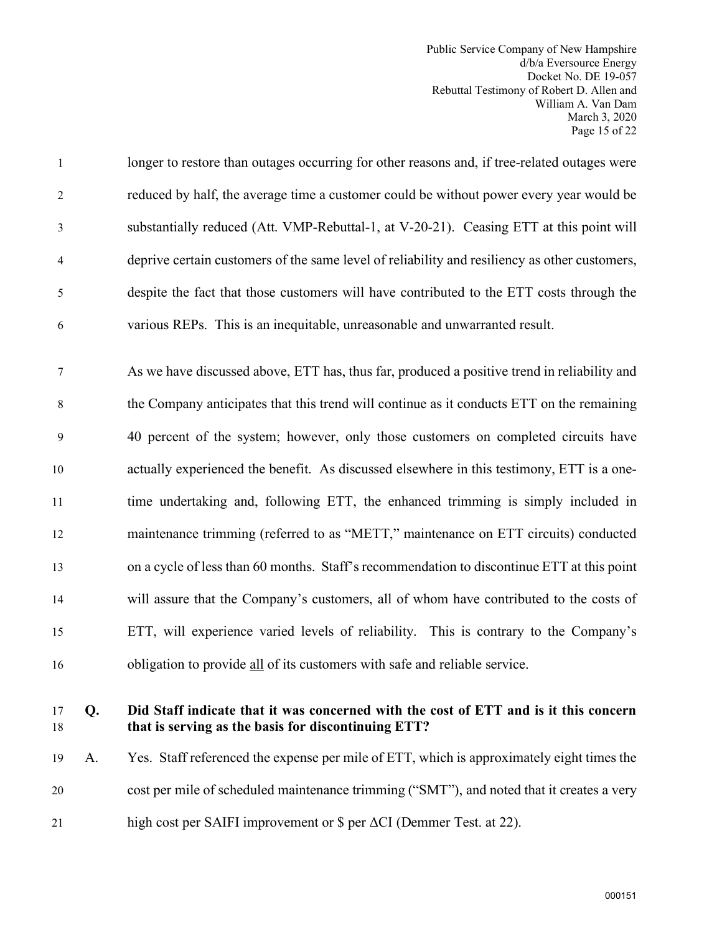Public Service Company of New Hampshire d/b/a Eversource Energy Docket No. DE 19-057 Rebuttal Testimony of Robert D. Allen and William A. Van Dam March 3, 2020 Page 15 of 22

| $\mathbf{1}$   | longer to restore than outages occurring for other reasons and, if tree-related outages were  |
|----------------|-----------------------------------------------------------------------------------------------|
| 2              | reduced by half, the average time a customer could be without power every year would be       |
| 3              | substantially reduced (Att. VMP-Rebuttal-1, at V-20-21). Ceasing ETT at this point will       |
| $\overline{4}$ | deprive certain customers of the same level of reliability and resiliency as other customers, |
| 5              | despite the fact that those customers will have contributed to the ETT costs through the      |
| 6              | various REPs. This is an inequitable, unreasonable and unwarranted result.                    |

7 As we have discussed above, ETT has, thus far, produced a positive trend in reliability and 8 the Company anticipates that this trend will continue as it conducts ETT on the remaining 9 40 percent of the system; however, only those customers on completed circuits have 10 actually experienced the benefit. As discussed elsewhere in this testimony, ETT is a one-11 time undertaking and, following ETT, the enhanced trimming is simply included in 12 maintenance trimming (referred to as "METT," maintenance on ETT circuits) conducted 13 on a cycle of less than 60 months. Staff's recommendation to discontinue ETT at this point 14 will assure that the Company's customers, all of whom have contributed to the costs of 15 ETT, will experience varied levels of reliability. This is contrary to the Company's 16 obligation to provide all of its customers with safe and reliable service.

# 17 **Q. Did Staff indicate that it was concerned with the cost of ETT and is it this concern** 18 **that is serving as the basis for discontinuing ETT?**

19 A. Yes. Staff referenced the expense per mile of ETT, which is approximately eight times the 20 cost per mile of scheduled maintenance trimming ("SMT"), and noted that it creates a very 21 high cost per SAIFI improvement or \$ per ΔCI (Demmer Test. at 22).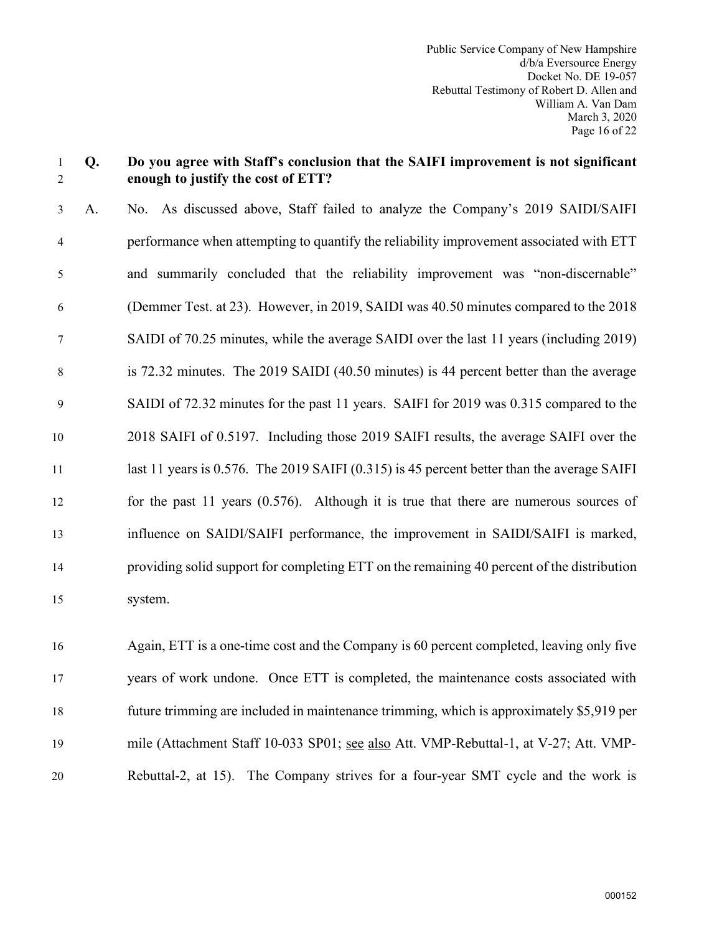#### 1 **Q. Do you agree with Staff's conclusion that the SAIFI improvement is not significant**  2 **enough to justify the cost of ETT?**

3 A. No. As discussed above, Staff failed to analyze the Company's 2019 SAIDI/SAIFI 4 performance when attempting to quantify the reliability improvement associated with ETT 5 and summarily concluded that the reliability improvement was "non-discernable" 6 (Demmer Test. at 23). However, in 2019, SAIDI was 40.50 minutes compared to the 2018 7 SAIDI of 70.25 minutes, while the average SAIDI over the last 11 years (including 2019) 8 is 72.32 minutes. The 2019 SAIDI (40.50 minutes) is 44 percent better than the average 9 SAIDI of 72.32 minutes for the past 11 years. SAIFI for 2019 was 0.315 compared to the 10 2018 SAIFI of 0.5197. Including those 2019 SAIFI results, the average SAIFI over the 11 last 11 years is 0.576. The 2019 SAIFI (0.315) is 45 percent better than the average SAIFI 12 for the past 11 years (0.576). Although it is true that there are numerous sources of 13 influence on SAIDI/SAIFI performance, the improvement in SAIDI/SAIFI is marked, 14 providing solid support for completing ETT on the remaining 40 percent of the distribution 15 system.

16 Again, ETT is a one-time cost and the Company is 60 percent completed, leaving only five 17 years of work undone. Once ETT is completed, the maintenance costs associated with 18 future trimming are included in maintenance trimming, which is approximately \$5,919 per 19 mile (Attachment Staff 10-033 SP01; see also Att. VMP-Rebuttal-1, at V-27; Att. VMP-20 Rebuttal-2, at 15). The Company strives for a four-year SMT cycle and the work is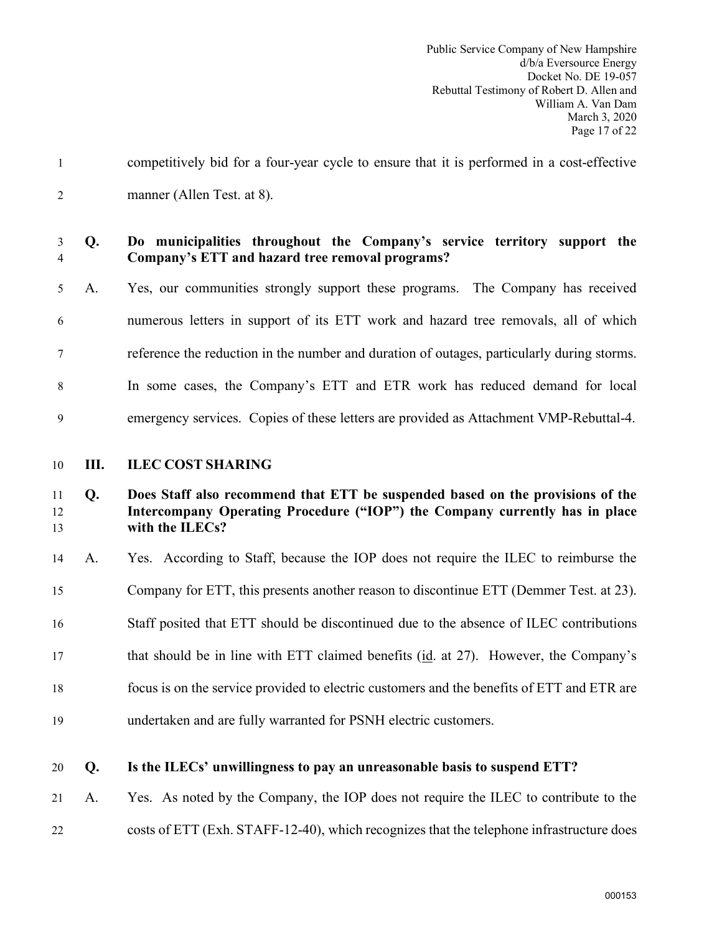<span id="page-18-0"></span>

| $\mathbf{1}$   |    | competitively bid for a four-year cycle to ensure that it is performed in a cost-effective                                                                                       |
|----------------|----|----------------------------------------------------------------------------------------------------------------------------------------------------------------------------------|
| $\overline{2}$ |    | manner (Allen Test. at 8).                                                                                                                                                       |
| 3<br>4         | Q. | Do municipalities throughout the Company's service territory support the<br>Company's ETT and hazard tree removal programs?                                                      |
| 5              | A. | Yes, our communities strongly support these programs. The Company has received                                                                                                   |
| 6              |    | numerous letters in support of its ETT work and hazard tree removals, all of which                                                                                               |
| 7              |    | reference the reduction in the number and duration of outages, particularly during storms.                                                                                       |
| 8              |    | In some cases, the Company's ETT and ETR work has reduced demand for local                                                                                                       |
| 9              |    | emergency services. Copies of these letters are provided as Attachment VMP-Rebuttal-4.                                                                                           |
| 10             | Ш. | <b>ILEC COST SHARING</b>                                                                                                                                                         |
|                |    |                                                                                                                                                                                  |
| 11<br>12<br>13 | Q. | Does Staff also recommend that ETT be suspended based on the provisions of the<br>Intercompany Operating Procedure ("IOP") the Company currently has in place<br>with the ILECs? |
| 14             | A. | Yes. According to Staff, because the IOP does not require the ILEC to reimburse the                                                                                              |
| 15             |    | Company for ETT, this presents another reason to discontinue ETT (Demmer Test. at 23).                                                                                           |
| 16             |    | Staff posited that ETT should be discontinued due to the absence of ILEC contributions                                                                                           |
| 17             |    | that should be in line with ETT claimed benefits (id. at 27). However, the Company's                                                                                             |
| 18             |    | focus is on the service provided to electric customers and the benefits of ETT and ETR are                                                                                       |
| 19             |    | undertaken and are fully warranted for PSNH electric customers.                                                                                                                  |
| 20             | Q. | Is the ILECs' unwillingness to pay an unreasonable basis to suspend ETT?                                                                                                         |

22 costs of ETT (Exh. STAFF-12-40), which recognizes that the telephone infrastructure does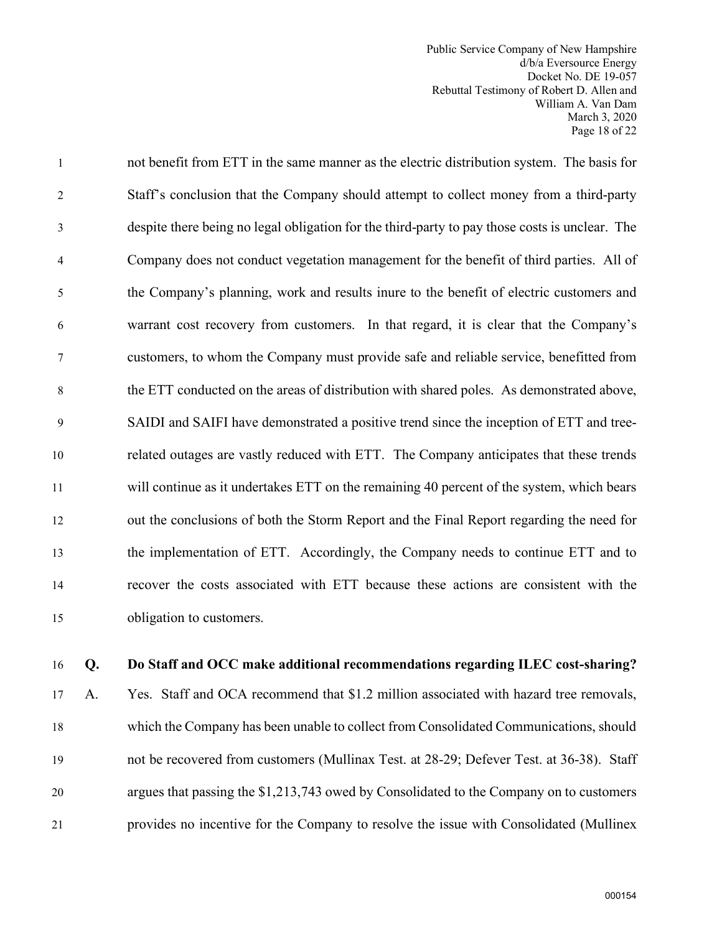Public Service Company of New Hampshire d/b/a Eversource Energy Docket No. DE 19-057 Rebuttal Testimony of Robert D. Allen and William A. Van Dam March 3, 2020 Page 18 of 22

1 not benefit from ETT in the same manner as the electric distribution system. The basis for 2 Staff's conclusion that the Company should attempt to collect money from a third-party 3 despite there being no legal obligation for the third-party to pay those costs is unclear. The 4 Company does not conduct vegetation management for the benefit of third parties. All of 5 the Company's planning, work and results inure to the benefit of electric customers and 6 warrant cost recovery from customers. In that regard, it is clear that the Company's 7 customers, to whom the Company must provide safe and reliable service, benefitted from 8 the ETT conducted on the areas of distribution with shared poles. As demonstrated above, 9 SAIDI and SAIFI have demonstrated a positive trend since the inception of ETT and tree-10 related outages are vastly reduced with ETT. The Company anticipates that these trends 11 will continue as it undertakes ETT on the remaining 40 percent of the system, which bears 12 out the conclusions of both the Storm Report and the Final Report regarding the need for 13 the implementation of ETT. Accordingly, the Company needs to continue ETT and to 14 recover the costs associated with ETT because these actions are consistent with the 15 obligation to customers.

#### 16 **Q. Do Staff and OCC make additional recommendations regarding ILEC cost-sharing?**

17 A. Yes. Staff and OCA recommend that \$1.2 million associated with hazard tree removals, 18 which the Company has been unable to collect from Consolidated Communications, should 19 not be recovered from customers (Mullinax Test. at 28-29; Defever Test. at 36-38). Staff 20 argues that passing the \$1,213,743 owed by Consolidated to the Company on to customers 21 provides no incentive for the Company to resolve the issue with Consolidated (Mullinex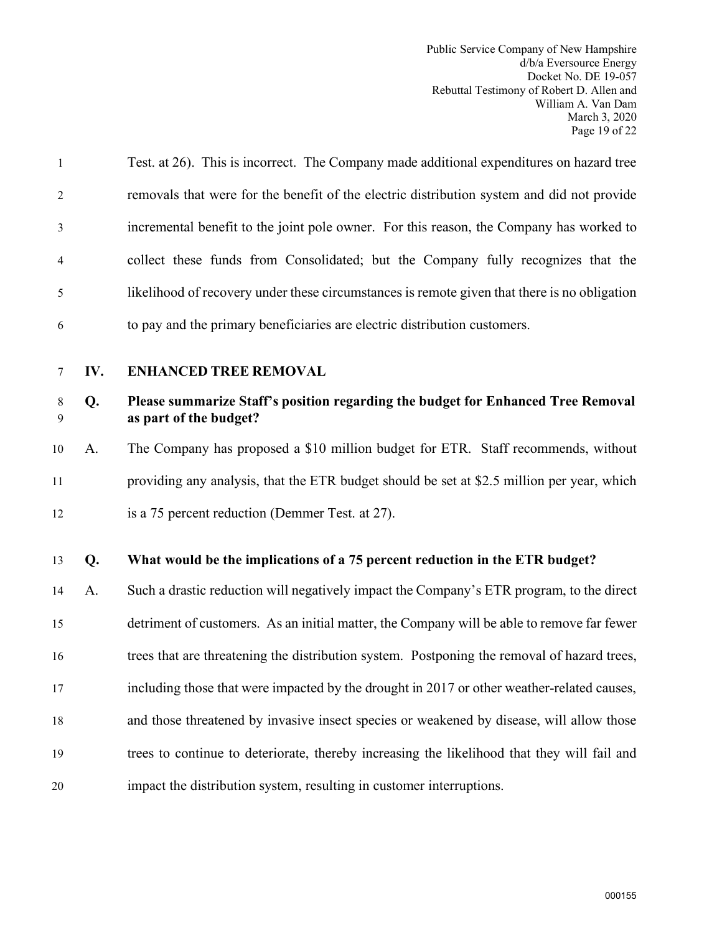Public Service Company of New Hampshire d/b/a Eversource Energy Docket No. DE 19-057 Rebuttal Testimony of Robert D. Allen and William A. Van Dam March 3, 2020 Page 19 of 22

1 Test. at 26). This is incorrect. The Company made additional expenditures on hazard tree 2 removals that were for the benefit of the electric distribution system and did not provide 3 incremental benefit to the joint pole owner. For this reason, the Company has worked to 4 collect these funds from Consolidated; but the Company fully recognizes that the 5 likelihood of recovery under these circumstances is remote given that there is no obligation 6 to pay and the primary beneficiaries are electric distribution customers.

#### <span id="page-20-0"></span>7 **IV. ENHANCED TREE REMOVAL**

#### 8 **Q. Please summarize Staff's position regarding the budget for Enhanced Tree Removal**  9 **as part of the budget?**

10 A. The Company has proposed a \$10 million budget for ETR. Staff recommends, without 11 providing any analysis, that the ETR budget should be set at \$2.5 million per year, which 12 is a 75 percent reduction (Demmer Test. at 27).

### 13 **Q. What would be the implications of a 75 percent reduction in the ETR budget?**

14 A. Such a drastic reduction will negatively impact the Company's ETR program, to the direct 15 detriment of customers. As an initial matter, the Company will be able to remove far fewer 16 trees that are threatening the distribution system. Postponing the removal of hazard trees, 17 including those that were impacted by the drought in 2017 or other weather-related causes, 18 and those threatened by invasive insect species or weakened by disease, will allow those 19 trees to continue to deteriorate, thereby increasing the likelihood that they will fail and 20 impact the distribution system, resulting in customer interruptions.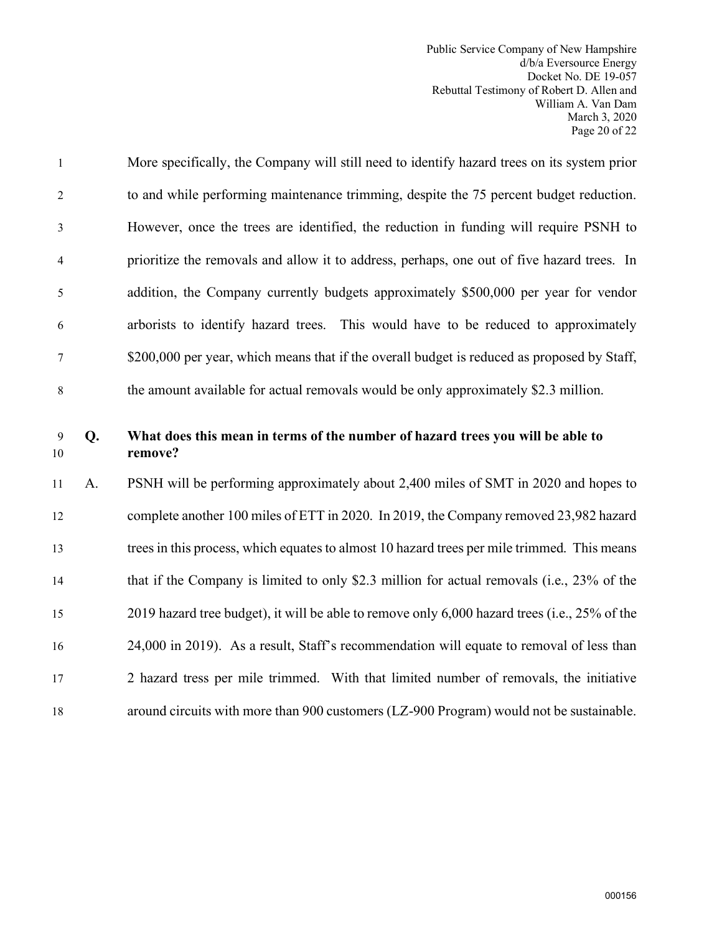Public Service Company of New Hampshire d/b/a Eversource Energy Docket No. DE 19-057 Rebuttal Testimony of Robert D. Allen and William A. Van Dam March 3, 2020 Page 20 of 22

| $\mathbf{1}$   | More specifically, the Company will still need to identify hazard trees on its system prior |
|----------------|---------------------------------------------------------------------------------------------|
| 2              | to and while performing maintenance trimming, despite the 75 percent budget reduction.      |
| 3              | However, once the trees are identified, the reduction in funding will require PSNH to       |
| $\overline{4}$ | prioritize the removals and allow it to address, perhaps, one out of five hazard trees. In  |
| 5              | addition, the Company currently budgets approximately \$500,000 per year for vendor         |
| 6              | arborists to identify hazard trees. This would have to be reduced to approximately          |
| 7              | \$200,000 per year, which means that if the overall budget is reduced as proposed by Staff, |
| 8              | the amount available for actual removals would be only approximately \$2.3 million.         |

## 9 **Q. What does this mean in terms of the number of hazard trees you will be able to**  10 **remove?**

11 A. PSNH will be performing approximately about 2,400 miles of SMT in 2020 and hopes to 12 complete another 100 miles of ETT in 2020. In 2019, the Company removed 23,982 hazard 13 trees in this process, which equates to almost 10 hazard trees per mile trimmed. This means 14 that if the Company is limited to only \$2.3 million for actual removals (i.e., 23% of the 15 2019 hazard tree budget), it will be able to remove only 6,000 hazard trees (i.e., 25% of the 16 24,000 in 2019). As a result, Staff's recommendation will equate to removal of less than 17 2 hazard tress per mile trimmed. With that limited number of removals, the initiative 18 around circuits with more than 900 customers (LZ-900 Program) would not be sustainable.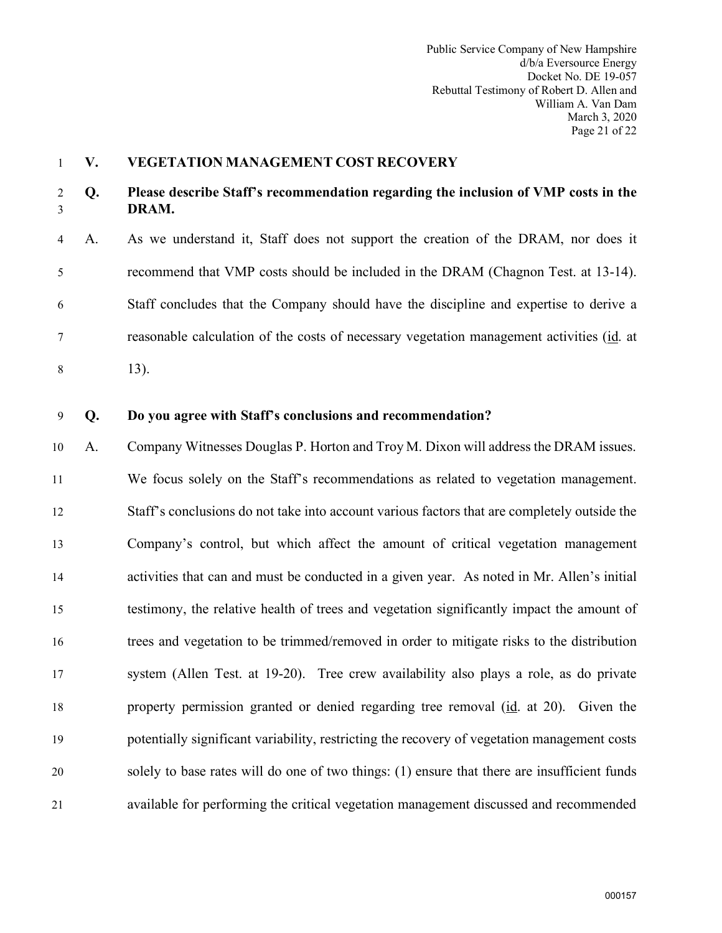#### <span id="page-22-0"></span>1 **V. VEGETATION MANAGEMENT COST RECOVERY**

#### 2 **Q. Please describe Staff's recommendation regarding the inclusion of VMP costs in the**  3 **DRAM.**

4 A. As we understand it, Staff does not support the creation of the DRAM, nor does it 5 recommend that VMP costs should be included in the DRAM (Chagnon Test. at 13-14). 6 Staff concludes that the Company should have the discipline and expertise to derive a 7 reasonable calculation of the costs of necessary vegetation management activities (id. at 8 13).

#### 9 **Q. Do you agree with Staff's conclusions and recommendation?**

10 A. Company Witnesses Douglas P. Horton and Troy M. Dixon will address the DRAM issues. 11 We focus solely on the Staff's recommendations as related to vegetation management. 12 Staff's conclusions do not take into account various factors that are completely outside the 13 Company's control, but which affect the amount of critical vegetation management 14 activities that can and must be conducted in a given year. As noted in Mr. Allen's initial 15 testimony, the relative health of trees and vegetation significantly impact the amount of 16 trees and vegetation to be trimmed/removed in order to mitigate risks to the distribution 17 system (Allen Test. at 19-20). Tree crew availability also plays a role, as do private 18 property permission granted or denied regarding tree removal (id. at 20). Given the 19 potentially significant variability, restricting the recovery of vegetation management costs 20 solely to base rates will do one of two things: (1) ensure that there are insufficient funds 21 available for performing the critical vegetation management discussed and recommended